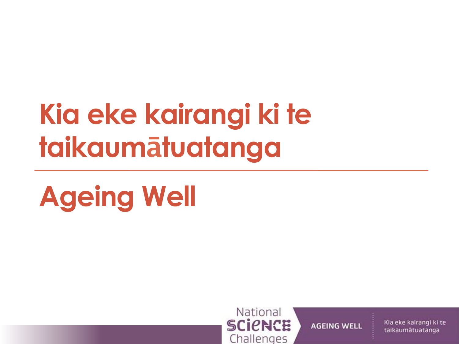# Kia eke kairangi ki te taikaumātuatanga

# **Ageing Well**



**AGEING WELL**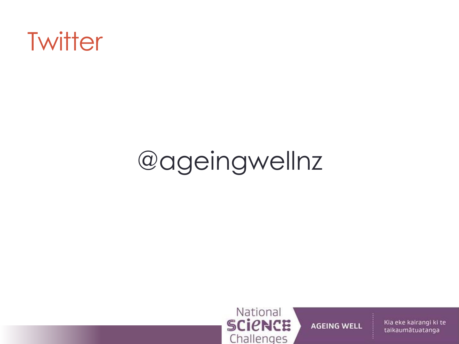

## @ageingwellnz



**AGEING WELL**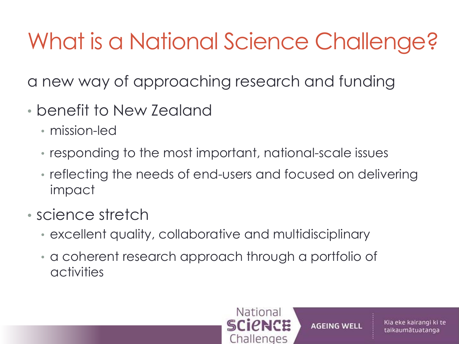## What is a National Science Challenge?

a new way of approaching research and funding

- benefit to New Zealand
	- mission-led
	- responding to the most important, national-scale issues
	- reflecting the needs of end-users and focused on delivering impact
- science stretch
	- excellent quality, collaborative and multidisciplinary
	- a coherent research approach through a portfolio of activities



**AGEING WELL**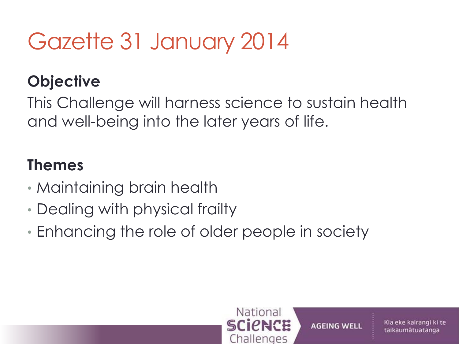### Gazette 31 January 2014

### **Objective**

This Challenge will harness science to sustain health and well-being into the later years of life.

#### **Themes**

- Maintaining brain health
- Dealing with physical frailty
- Enhancing the role of older people in society

National

**SCIPNCE** 

Challenges

**AGEING WELL** 

Kia eke kairangi ki te

taikaumātuatanga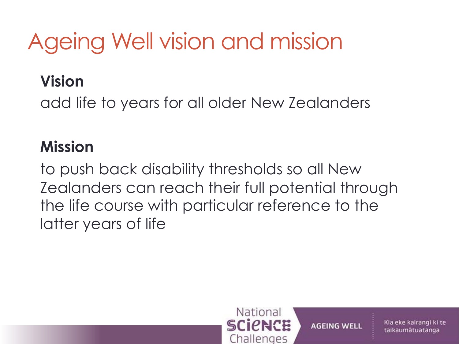## Ageing Well vision and mission

### **Vision**

add life to years for all older New Zealanders

### **Mission**

to push back disability thresholds so all New Zealanders can reach their full potential through the life course with particular reference to the latter years of life



**AGEING WELL**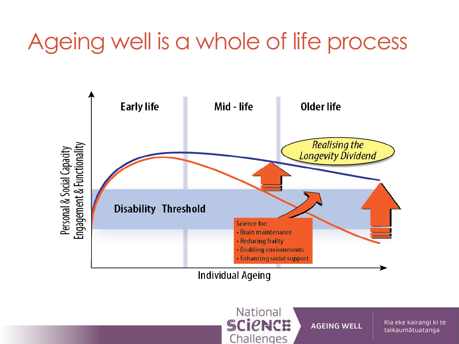### Ageing well is a whole of life process



Individual Ageing

National **SCICNCE** Challenges

**AGEING WELL**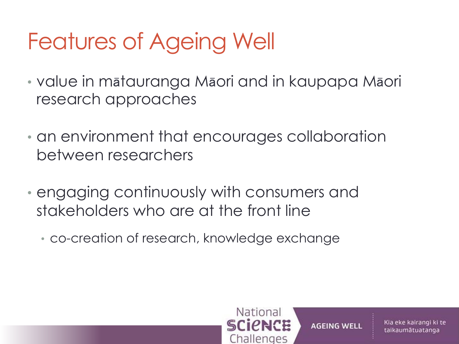## Features of Ageing Well

- value in mātauranga Māori and in kaupapa Māori research approaches
- an environment that encourages collaboration between researchers
- engaging continuously with consumers and stakeholders who are at the front line
	- co-creation of research, knowledge exchange

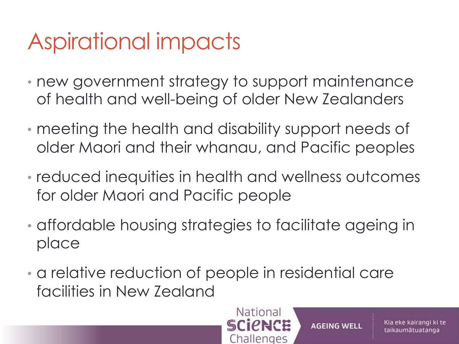## Aspirational impacts

- new government strategy to support maintenance of health and well-being of older New Zealanders
- meeting the health and disability support needs of older Maori and their whanau, and Pacific peoples
- reduced inequities in health and wellness outcomes for older Maori and Pacific people
- affordable housing strategies to facilitate ageing in place
- a relative reduction of people in residential care facilities in New Zealand



**AGEING WELL**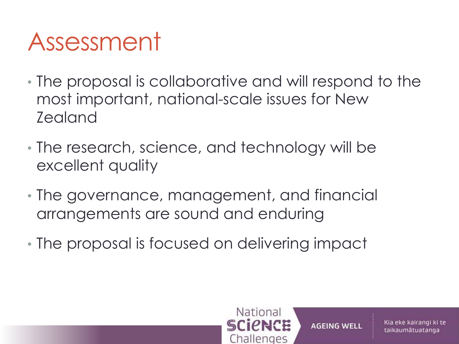## Assessment

- The proposal is collaborative and will respond to the most important, national-scale issues for New Zealand
- The research, science, and technology will be excellent quality
- The governance, management, and financial arrangements are sound and enduring
- The proposal is focused on delivering impact



**AGEING WELL**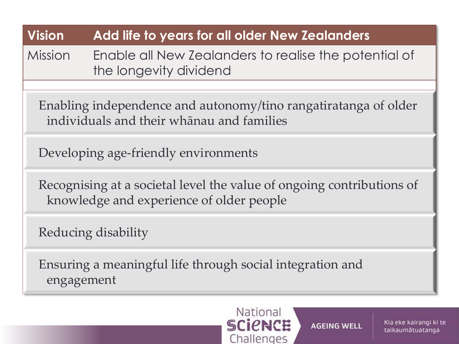#### **Vision Add life to years for all older New Zealanders**

Mission Enable all New Zealanders to realise the potential of the longevity dividend

Enabling independence and autonomy/tino rangatiratanga of older individuals and their whānau and families

Developing age-friendly environments 

Recognising at a societal level the value of ongoing contributions of knowledge and experience of older people

Reducing disability

Ensuring a meaningful life through social integration and engagement



**AGEING WELL**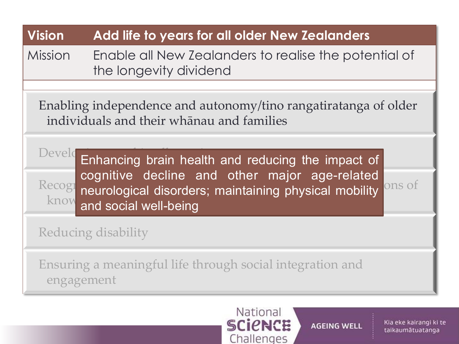| <b>Vision</b>                                                                                                                                                                                                 | Add life to years for all older New Zealanders                                  |
|---------------------------------------------------------------------------------------------------------------------------------------------------------------------------------------------------------------|---------------------------------------------------------------------------------|
| Mission                                                                                                                                                                                                       | Enable all New Zealanders to realise the potential of<br>the longevity dividend |
| Enabling independence and autonomy/tino rangatiratanga of older<br>individuals and their whanau and families                                                                                                  |                                                                                 |
| Develo Enhancing brain health and reducing the impact of<br>cognitive decline and other major age-related<br>Recog neurological disorders; maintaining physical mobility ons of<br>know and social well-being |                                                                                 |
| Reducing disability                                                                                                                                                                                           |                                                                                 |
| Ensuring a meaningful life through social integration and<br>engagement                                                                                                                                       |                                                                                 |

### National<br>SCICNCE Challenges

**AGEING WELL**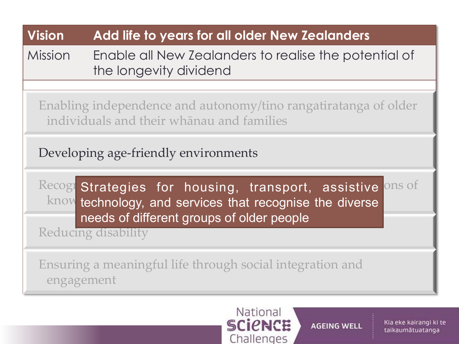#### **Vision Add life to years for all older New Zealanders**

Mission Enable all New Zealanders to realise the potential of the longevity dividend

Enabling independence and autonomy/tino rangatiratanga of older individuals and their whānau and families

Developing age-friendly environments 

Recog Strategies for housing, transport, assistive ons of  $\text{know}$  technology, and services that recognise the diverse needs of different groups of older people

Reducing disability

Ensuring a meaningful life through social integration and engagement

#### National **SCIPNCE** Challenges

**AGEING WELL**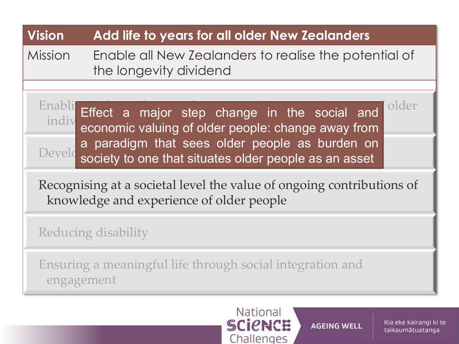#### **Vision Add life to years for all older New Zealanders** Mission Enable all New Zealanders to realise the potential of the longevity dividend  $\frac{1}{\sqrt{1-\frac{1}{\sqrt{1-\frac{1}{\sqrt{1-\frac{1}{\sqrt{1-\frac{1}{\sqrt{1-\frac{1}{\sqrt{1-\frac{1}{\sqrt{1-\frac{1}{\sqrt{1-\frac{1}{\sqrt{1-\frac{1}{\sqrt{1-\frac{1}{\sqrt{1-\frac{1}{\sqrt{1-\frac{1}{\sqrt{1-\frac{1}{\sqrt{1-\frac{1}{\sqrt{1-\frac{1}{\sqrt{1-\frac{1}{\sqrt{1-\frac{1}{\sqrt{1-\frac{1}{\sqrt{1-\frac{1}{\sqrt{1-\frac{1}{\sqrt{1-\frac{1}{\sqrt{1-\frac{1}{\sqrt{1-\frac{1}{\sqrt{1-\frac{1$  $\frac{1}{100}$  and  $\frac{1}{100}$  and  $\frac{1}{100}$  whenau and faller people: ch Developments and second the pro-Recognising at a societal level the value of ongoing contributions of knowledge and experience of older people Reducing disability Ensuring a meaningful life through social integration and engagement Effect a major step change in the social and economic valuing of older people: change away from a paradigm that sees older people as burden on society to one that situates older people as an asset



**AGEING WELL**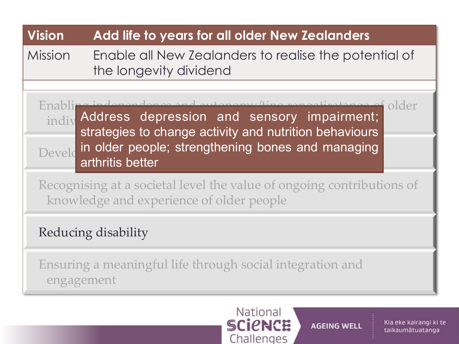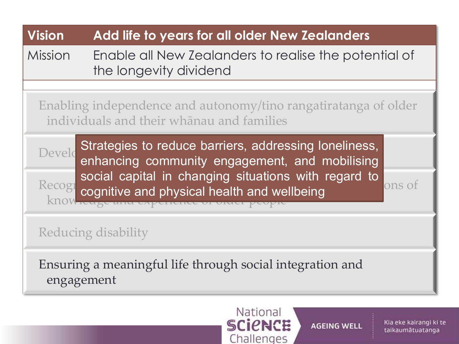

Challenges

#### Kia eke kairangi ki te taikaumātuatanga

**AGEING WELL**